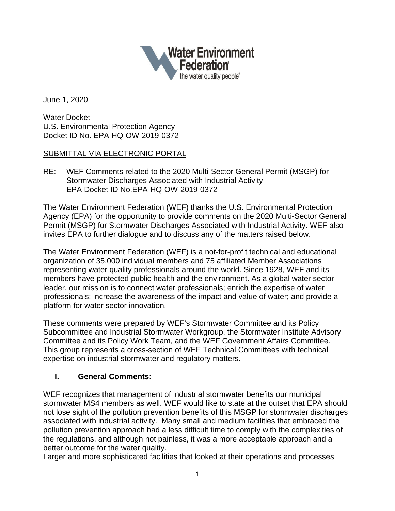

June 1, 2020

Water Docket U.S. Environmental Protection Agency Docket ID No. EPA-HQ-OW-2019-0372

### SUBMITTAL VIA ELECTRONIC PORTAL

RE: WEF Comments related to the 2020 Multi-Sector General Permit (MSGP) for Stormwater Discharges Associated with Industrial Activity EPA Docket ID No.EPA-HQ-OW-2019-0372

The Water Environment Federation (WEF) thanks the U.S. Environmental Protection Agency (EPA) for the opportunity to provide comments on the 2020 Multi-Sector General Permit (MSGP) for Stormwater Discharges Associated with Industrial Activity. WEF also invites EPA to further dialogue and to discuss any of the matters raised below.

The Water Environment Federation (WEF) is a not-for-profit technical and educational organization of 35,000 individual members and 75 affiliated Member Associations representing water quality professionals around the world. Since 1928, WEF and its members have protected public health and the environment. As a global water sector leader, our mission is to connect water professionals; enrich the expertise of water professionals; increase the awareness of the impact and value of water; and provide a platform for water sector innovation.

These comments were prepared by WEF's Stormwater Committee and its Policy Subcommittee and Industrial Stormwater Workgroup, the Stormwater Institute Advisory Committee and its Policy Work Team, and the WEF Government Affairs Committee. This group represents a cross-section of WEF Technical Committees with technical expertise on industrial stormwater and regulatory matters.

# **I. General Comments:**

WEF recognizes that management of industrial stormwater benefits our municipal stormwater MS4 members as well. WEF would like to state at the outset that EPA should not lose sight of the pollution prevention benefits of this MSGP for stormwater discharges associated with industrial activity. Many small and medium facilities that embraced the pollution prevention approach had a less difficult time to comply with the complexities of the regulations, and although not painless, it was a more acceptable approach and a better outcome for the water quality.

Larger and more sophisticated facilities that looked at their operations and processes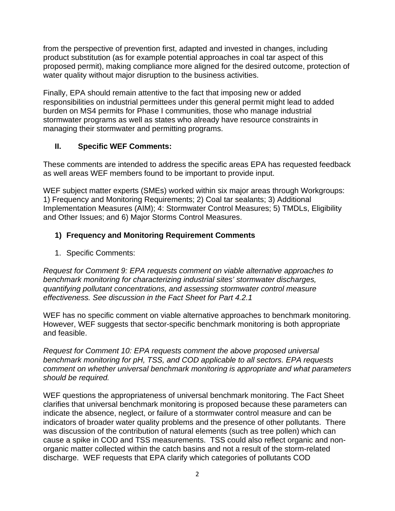from the perspective of prevention first, adapted and invested in changes, including product substitution (as for example potential approaches in coal tar aspect of this proposed permit), making compliance more aligned for the desired outcome, protection of water quality without major disruption to the business activities.

Finally, EPA should remain attentive to the fact that imposing new or added responsibilities on industrial permittees under this general permit might lead to added burden on MS4 permits for Phase I communities, those who manage industrial stormwater programs as well as states who already have resource constraints in managing their stormwater and permitting programs.

### **II. Specific WEF Comments:**

These comments are intended to address the specific areas EPA has requested feedback as well areas WEF members found to be important to provide input.

WEF subject matter experts (SMEs) worked within six major areas through Workgroups: 1) Frequency and Monitoring Requirements; 2) Coal tar sealants; 3) Additional Implementation Measures (AIM); 4: Stormwater Control Measures; 5) TMDLs, Eligibility and Other Issues; and 6) Major Storms Control Measures.

# **1) Frequency and Monitoring Requirement Comments**

1. Specific Comments:

*Request for Comment 9: EPA requests comment on viable alternative approaches to benchmark monitoring for characterizing industrial sites' stormwater discharges, quantifying pollutant concentrations, and assessing stormwater control measure effectiveness. See discussion in the Fact Sheet for Part 4.2.1*

WEF has no specific comment on viable alternative approaches to benchmark monitoring. However, WEF suggests that sector-specific benchmark monitoring is both appropriate and feasible.

*Request for Comment 10: EPA requests comment the above proposed universal benchmark monitoring for pH, TSS, and COD applicable to all sectors. EPA requests comment on whether universal benchmark monitoring is appropriate and what parameters should be required.* 

WEF questions the appropriateness of universal benchmark monitoring. The Fact Sheet clarifies that universal benchmark monitoring is proposed because these parameters can indicate the absence, neglect, or failure of a stormwater control measure and can be indicators of broader water quality problems and the presence of other pollutants. There was discussion of the contribution of natural elements (such as tree pollen) which can cause a spike in COD and TSS measurements. TSS could also reflect organic and nonorganic matter collected within the catch basins and not a result of the storm-related discharge. WEF requests that EPA clarify which categories of pollutants COD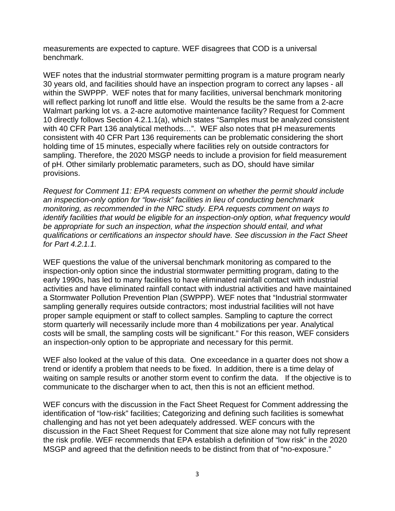measurements are expected to capture. WEF disagrees that COD is a universal benchmark.

WEF notes that the industrial stormwater permitting program is a mature program nearly 30 years old, and facilities should have an inspection program to correct any lapses - all within the SWPPP. WEF notes that for many facilities, universal benchmark monitoring will reflect parking lot runoff and little else. Would the results be the same from a 2-acre Walmart parking lot vs. a 2-acre automotive maintenance facility? Request for Comment 10 directly follows Section 4.2.1.1(a), which states "Samples must be analyzed consistent with 40 CFR Part 136 analytical methods...". WEF also notes that pH measurements consistent with 40 CFR Part 136 requirements can be problematic considering the short holding time of 15 minutes, especially where facilities rely on outside contractors for sampling. Therefore, the 2020 MSGP needs to include a provision for field measurement of pH. Other similarly problematic parameters, such as DO, should have similar provisions.

*Request for Comment 11: EPA requests comment on whether the permit should include an inspection-only option for "low-risk" facilities in lieu of conducting benchmark monitoring, as recommended in the NRC study. EPA requests comment on ways to identify facilities that would be eligible for an inspection-only option, what frequency would be appropriate for such an inspection, what the inspection should entail, and what qualifications or certifications an inspector should have. See discussion in the Fact Sheet for Part 4.2.1.1.*

WEF questions the value of the universal benchmark monitoring as compared to the inspection-only option since the industrial stormwater permitting program, dating to the early 1990s, has led to many facilities to have eliminated rainfall contact with industrial activities and have eliminated rainfall contact with industrial activities and have maintained a Stormwater Pollution Prevention Plan (SWPPP). WEF notes that "Industrial stormwater sampling generally requires outside contractors; most industrial facilities will not have proper sample equipment or staff to collect samples. Sampling to capture the correct storm quarterly will necessarily include more than 4 mobilizations per year. Analytical costs will be small, the sampling costs will be significant." For this reason, WEF considers an inspection-only option to be appropriate and necessary for this permit.

WEF also looked at the value of this data. One exceedance in a quarter does not show a trend or identify a problem that needs to be fixed. In addition, there is a time delay of waiting on sample results or another storm event to confirm the data. If the objective is to communicate to the discharger when to act, then this is not an efficient method.

WEF concurs with the discussion in the Fact Sheet Request for Comment addressing the identification of "low-risk" facilities; Categorizing and defining such facilities is somewhat challenging and has not yet been adequately addressed. WEF concurs with the discussion in the Fact Sheet Request for Comment that size alone may not fully represent the risk profile. WEF recommends that EPA establish a definition of "low risk" in the 2020 MSGP and agreed that the definition needs to be distinct from that of "no-exposure."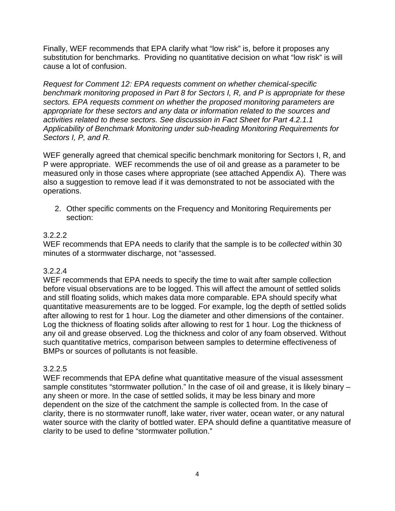Finally, WEF recommends that EPA clarify what "low risk" is, before it proposes any substitution for benchmarks. Providing no quantitative decision on what "low risk" is will cause a lot of confusion.

*Request for Comment 12: EPA requests comment on whether chemical-specific benchmark monitoring proposed in Part 8 for Sectors I, R, and P is appropriate for these sectors. EPA requests comment on whether the proposed monitoring parameters are appropriate for these sectors and any data or information related to the sources and activities related to these sectors. See discussion in Fact Sheet for Part 4.2.1.1 Applicability of Benchmark Monitoring under sub-heading Monitoring Requirements for Sectors I, P, and R.*

WEF generally agreed that chemical specific benchmark monitoring for Sectors I, R, and P were appropriate. WEF recommends the use of oil and grease as a parameter to be measured only in those cases where appropriate (see attached Appendix A). There was also a suggestion to remove lead if it was demonstrated to not be associated with the operations.

2. Other specific comments on the Frequency and Monitoring Requirements per section:

### 3.2.2.2

WEF recommends that EPA needs to clarify that the sample is to be *collected* within 30 minutes of a stormwater discharge, not "assessed.

# 3.2.2.4

WEF recommends that EPA needs to specify the time to wait after sample collection before visual observations are to be logged. This will affect the amount of settled solids and still floating solids, which makes data more comparable. EPA should specify what quantitative measurements are to be logged. For example, log the depth of settled solids after allowing to rest for 1 hour. Log the diameter and other dimensions of the container. Log the thickness of floating solids after allowing to rest for 1 hour. Log the thickness of any oil and grease observed. Log the thickness and color of any foam observed. Without such quantitative metrics, comparison between samples to determine effectiveness of BMPs or sources of pollutants is not feasible.

# 3.2.2.5

WEF recommends that EPA define what quantitative measure of the visual assessment sample constitutes "stormwater pollution." In the case of oil and grease, it is likely binary – any sheen or more. In the case of settled solids, it may be less binary and more dependent on the size of the catchment the sample is collected from. In the case of clarity, there is no stormwater runoff, lake water, river water, ocean water, or any natural water source with the clarity of bottled water. EPA should define a quantitative measure of clarity to be used to define "stormwater pollution."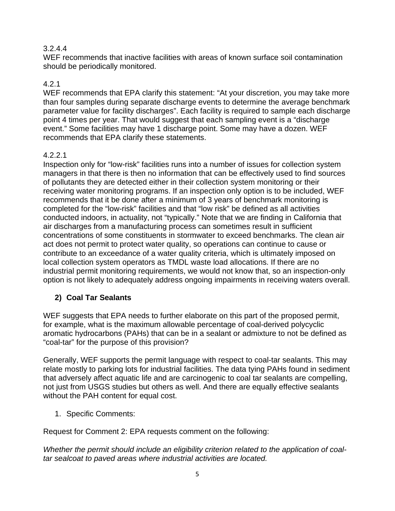### 3.2.4.4

WEF recommends that inactive facilities with areas of known surface soil contamination should be periodically monitored.

# 4.2.1

WEF recommends that EPA clarify this statement: "At your discretion, you may take more than four samples during separate discharge events to determine the average benchmark parameter value for facility discharges". Each facility is required to sample each discharge point 4 times per year. That would suggest that each sampling event is a "discharge event." Some facilities may have 1 discharge point. Some may have a dozen. WEF recommends that EPA clarify these statements.

### 4.2.2.1

Inspection only for "low-risk" facilities runs into a number of issues for collection system managers in that there is then no information that can be effectively used to find sources of pollutants they are detected either in their collection system monitoring or their receiving water monitoring programs. If an inspection only option is to be included, WEF recommends that it be done after a minimum of 3 years of benchmark monitoring is completed for the "low-risk" facilities and that "low risk" be defined as all activities conducted indoors, in actuality, not "typically." Note that we are finding in California that air discharges from a manufacturing process can sometimes result in sufficient concentrations of some constituents in stormwater to exceed benchmarks. The clean air act does not permit to protect water quality, so operations can continue to cause or contribute to an exceedance of a water quality criteria, which is ultimately imposed on local collection system operators as TMDL waste load allocations. If there are no industrial permit monitoring requirements, we would not know that, so an inspection-only option is not likely to adequately address ongoing impairments in receiving waters overall.

# **2) Coal Tar Sealants**

WEF suggests that EPA needs to further elaborate on this part of the proposed permit, for example, what is the maximum allowable percentage of coal-derived polycyclic aromatic hydrocarbons (PAHs) that can be in a sealant or admixture to not be defined as "coal-tar" for the purpose of this provision?

Generally, WEF supports the permit language with respect to coal-tar sealants. This may relate mostly to parking lots for industrial facilities. The data tying PAHs found in sediment that adversely affect aquatic life and are carcinogenic to coal tar sealants are compelling, not just from USGS studies but others as well. And there are equally effective sealants without the PAH content for equal cost.

1. Specific Comments:

Request for Comment 2: EPA requests comment on the following:

*Whether the permit should include an eligibility criterion related to the application of coaltar sealcoat to paved areas where industrial activities are located.*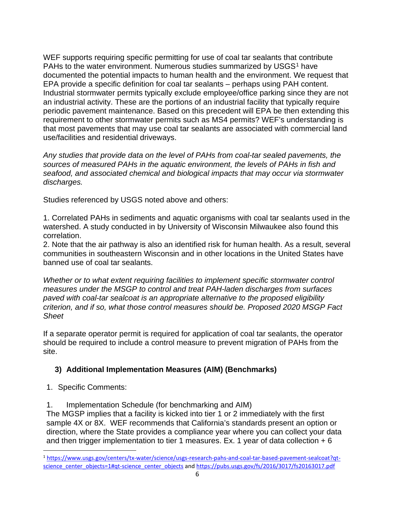WEF supports requiring specific permitting for use of coal tar sealants that contribute PAHs to the water environment. Numerous studies summarized by USGS<sup>[1](#page-5-0)</sup> have documented the potential impacts to human health and the environment. We request that EPA provide a specific definition for coal tar sealants – perhaps using PAH content. Industrial stormwater permits typically exclude employee/office parking since they are not an industrial activity. These are the portions of an industrial facility that typically require periodic pavement maintenance. Based on this precedent will EPA be then extending this requirement to other stormwater permits such as MS4 permits? WEF's understanding is that most pavements that may use coal tar sealants are associated with commercial land use/facilities and residential driveways.

*Any studies that provide data on the level of PAHs from coal-tar sealed pavements, the sources of measured PAHs in the aquatic environment, the levels of PAHs in fish and seafood, and associated chemical and biological impacts that may occur via stormwater discharges.* 

Studies referenced by USGS noted above and others:

1. Correlated PAHs in sediments and aquatic organisms with coal tar sealants used in the watershed. A study conducted in by University of Wisconsin Milwaukee also found this correlation.

2. Note that the air pathway is also an identified risk for human health. As a result, several communities in southeastern Wisconsin and in other locations in the United States have banned use of coal tar sealants.

*Whether or to what extent requiring facilities to implement specific stormwater control measures under the MSGP to control and treat PAH-laden discharges from surfaces paved with coal-tar sealcoat is an appropriate alternative to the proposed eligibility criterion, and if so, what those control measures should be. Proposed 2020 MSGP Fact Sheet*

If a separate operator permit is required for application of coal tar sealants, the operator should be required to include a control measure to prevent migration of PAHs from the site.

### **3) Additional Implementation Measures (AIM) (Benchmarks)**

1. Specific Comments:

1. Implementation Schedule (for benchmarking and AIM)

The MGSP implies that a facility is kicked into tier 1 or 2 immediately with the first sample 4X or 8X. WEF recommends that California's standards present an option or direction, where the State provides a compliance year where you can collect your data and then trigger implementation to tier 1 measures. Ex. 1 year of data collection  $+ 6$ 

<span id="page-5-0"></span><sup>1</sup> [https://www.usgs.gov/centers/tx-water/science/usgs-research-pahs-and-coal-tar-based-pavement-sealcoat?qt](https://www.usgs.gov/centers/tx-water/science/usgs-research-pahs-and-coal-tar-based-pavement-sealcoat?qt-science_center_objects=1#qt-science_center_objects)[science\\_center\\_objects=1#qt-science\\_center\\_objects](https://www.usgs.gov/centers/tx-water/science/usgs-research-pahs-and-coal-tar-based-pavement-sealcoat?qt-science_center_objects=1#qt-science_center_objects) and <https://pubs.usgs.gov/fs/2016/3017/fs20163017.pdf>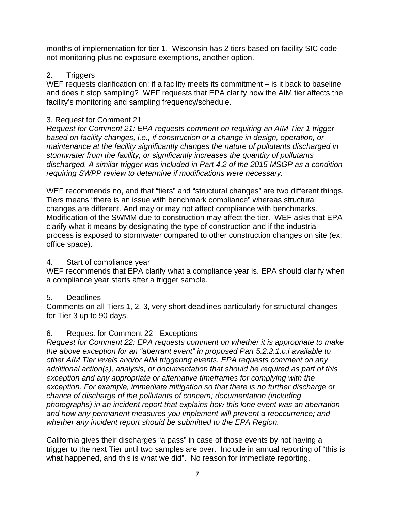months of implementation for tier 1. Wisconsin has 2 tiers based on facility SIC code not monitoring plus no exposure exemptions, another option.

### 2. Triggers

WEF requests clarification on: if a facility meets its commitment – is it back to baseline and does it stop sampling? WEF requests that EPA clarify how the AIM tier affects the facility's monitoring and sampling frequency/schedule.

### 3. Request for Comment 21

*Request for Comment 21: EPA requests comment on requiring an AIM Tier 1 trigger based on facility changes, i.e., if construction or a change in design, operation, or maintenance at the facility significantly changes the nature of pollutants discharged in stormwater from the facility, or significantly increases the quantity of pollutants discharged. A similar trigger was included in Part 4.2 of the 2015 MSGP as a condition requiring SWPP review to determine if modifications were necessary.*

WEF recommends no, and that "tiers" and "structural changes" are two different things. Tiers means "there is an issue with benchmark compliance" whereas structural changes are different. And may or may not affect compliance with benchmarks. Modification of the SWMM due to construction may affect the tier. WEF asks that EPA clarify what it means by designating the type of construction and if the industrial process is exposed to stormwater compared to other construction changes on site (ex: office space).

### 4. Start of compliance year

WEF recommends that EPA clarify what a compliance year is. EPA should clarify when a compliance year starts after a trigger sample.

# 5. Deadlines

Comments on all Tiers 1, 2, 3, very short deadlines particularly for structural changes for Tier 3 up to 90 days.

# 6. Request for Comment 22 - Exceptions

*Request for Comment 22: EPA requests comment on whether it is appropriate to make the above exception for an "aberrant event" in proposed Part 5.2.2.1.c.i available to other AIM Tier levels and/or AIM triggering events. EPA requests comment on any additional action(s), analysis, or documentation that should be required as part of this exception and any appropriate or alternative timeframes for complying with the exception. For example, immediate mitigation so that there is no further discharge or chance of discharge of the pollutants of concern; documentation (including photographs) in an incident report that explains how this lone event was an aberration and how any permanent measures you implement will prevent a reoccurrence; and whether any incident report should be submitted to the EPA Region.*

California gives their discharges "a pass" in case of those events by not having a trigger to the next Tier until two samples are over. Include in annual reporting of "this is what happened, and this is what we did". No reason for immediate reporting.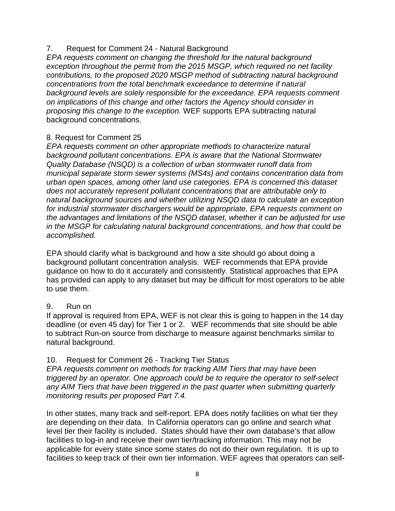#### 7. Request for Comment 24 - Natural Background

*EPA requests comment on changing the threshold for the natural background exception throughout the permit from the 2015 MSGP, which required no net facility contributions, to the proposed 2020 MSGP method of subtracting natural background concentrations from the total benchmark exceedance to determine if natural background levels are solely responsible for the exceedance. EPA requests comment on implications of this change and other factors the Agency should consider in proposing this change to the exception.* WEF supports EPA subtracting natural background concentrations.

#### 8. Request for Comment 25

*EPA requests comment on other appropriate methods to characterize natural background pollutant concentrations. EPA is aware that the National Stormwater Quality Database (NSQD) is a collection of urban stormwater runoff data from municipal separate storm sewer systems (MS4s) and contains concentration data from urban open spaces, among other land use categories. EPA is concerned this dataset does not accurately represent pollutant concentrations that are attributable only to natural background sources and whether utilizing NSQD data to calculate an exception for industrial stormwater dischargers would be appropriate. EPA requests comment on the advantages and limitations of the NSQD dataset, whether it can be adjusted for use in the MSGP for calculating natural background concentrations, and how that could be accomplished.*

EPA should clarify what is background and how a site should go about doing a background pollutant concentration analysis. WEF recommends that EPA provide guidance on how to do it accurately and consistently. Statistical approaches that EPA has provided can apply to any dataset but may be difficult for most operators to be able to use them.

#### 9. Run on

If approval is required from EPA, WEF is not clear this is going to happen in the 14 day deadline (or even 45 day) for Tier 1 or 2. WEF recommends that site should be able to subtract Run-on source from discharge to measure against benchmarks similar to natural background.

### 10. Request for Comment 26 - Tracking Tier Status

*EPA requests comment on methods for tracking AIM Tiers that may have been triggered by an operator. One approach could be to require the operator to self-select any AIM Tiers that have been triggered in the past quarter when submitting quarterly monitoring results per proposed Part 7.4.*

In other states, many track and self-report. EPA does notify facilities on what tier they are depending on their data. In California operators can go online and search what level tier their facility is included. States should have their own database's that allow facilities to log-in and receive their own tier/tracking information. This may not be applicable for every state since some states do not do their own regulation. It is up to facilities to keep track of their own tier information. WEF agrees that operators can self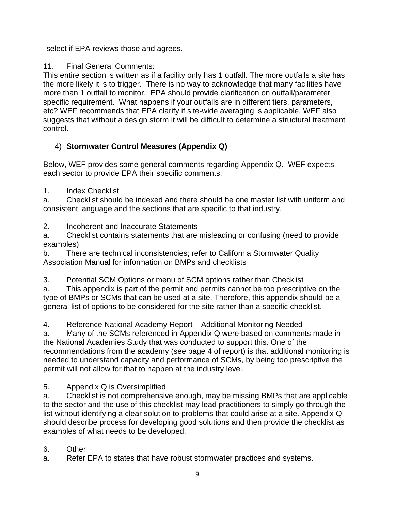select if EPA reviews those and agrees.

11. Final General Comments:

This entire section is written as if a facility only has 1 outfall. The more outfalls a site has the more likely it is to trigger. There is no way to acknowledge that many facilities have more than 1 outfall to monitor. EPA should provide clarification on outfall/parameter specific requirement. What happens if your outfalls are in different tiers, parameters, etc? WEF recommends that EPA clarify if site-wide averaging is applicable. WEF also suggests that without a design storm it will be difficult to determine a structural treatment control.

# 4) **Stormwater Control Measures (Appendix Q)**

Below, WEF provides some general comments regarding Appendix Q. WEF expects each sector to provide EPA their specific comments:

1. Index Checklist

a. Checklist should be indexed and there should be one master list with uniform and consistent language and the sections that are specific to that industry.

2. Incoherent and Inaccurate Statements

a. Checklist contains statements that are misleading or confusing (need to provide examples)

b. There are technical inconsistencies; refer to California Stormwater Quality Association Manual for information on BMPs and checklists

3. Potential SCM Options or menu of SCM options rather than Checklist

a. This appendix is part of the permit and permits cannot be too prescriptive on the type of BMPs or SCMs that can be used at a site. Therefore, this appendix should be a general list of options to be considered for the site rather than a specific checklist.

4. Reference National Academy Report – Additional Monitoring Needed

a. Many of the SCMs referenced in Appendix Q were based on comments made in the National Academies Study that was conducted to support this. One of the recommendations from the academy (see page 4 of report) is that additional monitoring is needed to understand capacity and performance of SCMs, by being too prescriptive the permit will not allow for that to happen at the industry level.

5. Appendix Q is Oversimplified

a. Checklist is not comprehensive enough, may be missing BMPs that are applicable to the sector and the use of this checklist may lead practitioners to simply go through the list without identifying a clear solution to problems that could arise at a site. Appendix Q should describe process for developing good solutions and then provide the checklist as examples of what needs to be developed.

# 6. Other

a. Refer EPA to states that have robust stormwater practices and systems.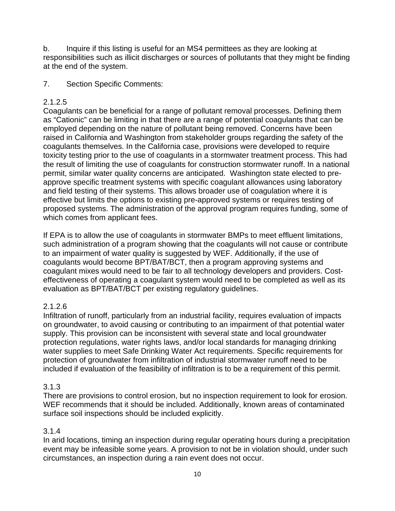b. Inquire if this listing is useful for an MS4 permittees as they are looking at responsibilities such as illicit discharges or sources of pollutants that they might be finding at the end of the system.

7. Section Specific Comments:

### 2.1.2.5

Coagulants can be beneficial for a range of pollutant removal processes. Defining them as "Cationic" can be limiting in that there are a range of potential coagulants that can be employed depending on the nature of pollutant being removed. Concerns have been raised in California and Washington from stakeholder groups regarding the safety of the coagulants themselves. In the California case, provisions were developed to require toxicity testing prior to the use of coagulants in a stormwater treatment process. This had the result of limiting the use of coagulants for construction stormwater runoff. In a national permit, similar water quality concerns are anticipated. Washington state elected to preapprove specific treatment systems with specific coagulant allowances using laboratory and field testing of their systems. This allows broader use of coagulation where it is effective but limits the options to existing pre-approved systems or requires testing of proposed systems. The administration of the approval program requires funding, some of which comes from applicant fees.

If EPA is to allow the use of coagulants in stormwater BMPs to meet effluent limitations, such administration of a program showing that the coagulants will not cause or contribute to an impairment of water quality is suggested by WEF. Additionally, if the use of coagulants would become BPT/BAT/BCT, then a program approving systems and coagulant mixes would need to be fair to all technology developers and providers. Costeffectiveness of operating a coagulant system would need to be completed as well as its evaluation as BPT/BAT/BCT per existing regulatory guidelines.

### 2.1.2.6

Infiltration of runoff, particularly from an industrial facility, requires evaluation of impacts on groundwater, to avoid causing or contributing to an impairment of that potential water supply. This provision can be inconsistent with several state and local groundwater protection regulations, water rights laws, and/or local standards for managing drinking water supplies to meet Safe Drinking Water Act requirements. Specific requirements for protection of groundwater from infiltration of industrial stormwater runoff need to be included if evaluation of the feasibility of infiltration is to be a requirement of this permit.

### 3.1.3

There are provisions to control erosion, but no inspection requirement to look for erosion. WEF recommends that it should be included. Additionally, known areas of contaminated surface soil inspections should be included explicitly.

### 3.1.4

In arid locations, timing an inspection during regular operating hours during a precipitation event may be infeasible some years. A provision to not be in violation should, under such circumstances, an inspection during a rain event does not occur.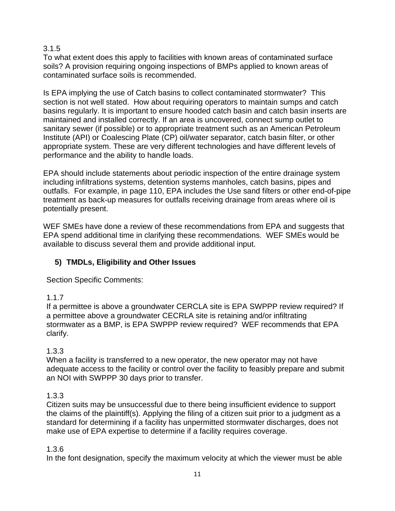### 3.1.5

To what extent does this apply to facilities with known areas of contaminated surface soils? A provision requiring ongoing inspections of BMPs applied to known areas of contaminated surface soils is recommended.

Is EPA implying the use of Catch basins to collect contaminated stormwater? This section is not well stated. How about requiring operators to maintain sumps and catch basins regularly. It is important to ensure hooded catch basin and catch basin inserts are maintained and installed correctly. If an area is uncovered, connect sump outlet to sanitary sewer (if possible) or to appropriate treatment such as an American Petroleum Institute (API) or Coalescing Plate (CP) oil/water separator, catch basin filter, or other appropriate system. These are very different technologies and have different levels of performance and the ability to handle loads.

EPA should include statements about periodic inspection of the entire drainage system including infiltrations systems, detention systems manholes, catch basins, pipes and outfalls. For example, in page 110, EPA includes the Use sand filters or other end-of-pipe treatment as back-up measures for outfalls receiving drainage from areas where oil is potentially present.

WEF SMEs have done a review of these recommendations from EPA and suggests that EPA spend additional time in clarifying these recommendations. WEF SMEs would be available to discuss several them and provide additional input.

# **5) TMDLs, Eligibility and Other Issues**

Section Specific Comments:

# 1.1.7

If a permittee is above a groundwater CERCLA site is EPA SWPPP review required? If a permittee above a groundwater CECRLA site is retaining and/or infiltrating stormwater as a BMP, is EPA SWPPP review required? WEF recommends that EPA clarify.

# 1.3.3

When a facility is transferred to a new operator, the new operator may not have adequate access to the facility or control over the facility to feasibly prepare and submit an NOI with SWPPP 30 days prior to transfer.

# 1.3.3

Citizen suits may be unsuccessful due to there being insufficient evidence to support the claims of the plaintiff(s). Applying the filing of a citizen suit prior to a judgment as a standard for determining if a facility has unpermitted stormwater discharges, does not make use of EPA expertise to determine if a facility requires coverage.

# 1.3.6

In the font designation, specify the maximum velocity at which the viewer must be able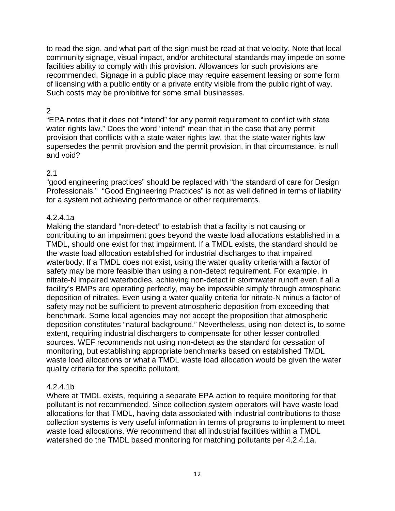to read the sign, and what part of the sign must be read at that velocity. Note that local community signage, visual impact, and/or architectural standards may impede on some facilities ability to comply with this provision. Allowances for such provisions are recommended. Signage in a public place may require easement leasing or some form of licensing with a public entity or a private entity visible from the public right of way. Such costs may be prohibitive for some small businesses.

#### 2

"EPA notes that it does not "intend" for any permit requirement to conflict with state water rights law." Does the word "intend" mean that in the case that any permit provision that conflicts with a state water rights law, that the state water rights law supersedes the permit provision and the permit provision, in that circumstance, is null and void?

#### 2.1

"good engineering practices" should be replaced with "the standard of care for Design Professionals." "Good Engineering Practices" is not as well defined in terms of liability for a system not achieving performance or other requirements.

#### 4.2.4.1a

Making the standard "non-detect" to establish that a facility is not causing or contributing to an impairment goes beyond the waste load allocations established in a TMDL, should one exist for that impairment. If a TMDL exists, the standard should be the waste load allocation established for industrial discharges to that impaired waterbody. If a TMDL does not exist, using the water quality criteria with a factor of safety may be more feasible than using a non-detect requirement. For example, in nitrate-N impaired waterbodies, achieving non-detect in stormwater runoff even if all a facility's BMPs are operating perfectly, may be impossible simply through atmospheric deposition of nitrates. Even using a water quality criteria for nitrate-N minus a factor of safety may not be sufficient to prevent atmospheric deposition from exceeding that benchmark. Some local agencies may not accept the proposition that atmospheric deposition constitutes "natural background." Nevertheless, using non-detect is, to some extent, requiring industrial dischargers to compensate for other lesser controlled sources. WEF recommends not using non-detect as the standard for cessation of monitoring, but establishing appropriate benchmarks based on established TMDL waste load allocations or what a TMDL waste load allocation would be given the water quality criteria for the specific pollutant.

#### 4.2.4.1b

Where at TMDL exists, requiring a separate EPA action to require monitoring for that pollutant is not recommended. Since collection system operators will have waste load allocations for that TMDL, having data associated with industrial contributions to those collection systems is very useful information in terms of programs to implement to meet waste load allocations. We recommend that all industrial facilities within a TMDL watershed do the TMDL based monitoring for matching pollutants per 4.2.4.1a.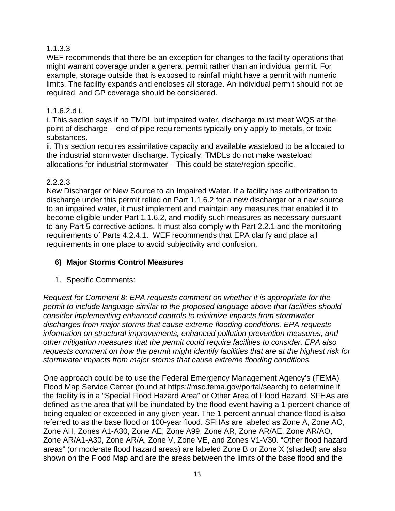### 1.1.3.3

WEF recommends that there be an exception for changes to the facility operations that might warrant coverage under a general permit rather than an individual permit. For example, storage outside that is exposed to rainfall might have a permit with numeric limits. The facility expands and encloses all storage. An individual permit should not be required, and GP coverage should be considered.

### 1.1.6.2.d i.

i. This section says if no TMDL but impaired water, discharge must meet WQS at the point of discharge – end of pipe requirements typically only apply to metals, or toxic substances.

ii. This section requires assimilative capacity and available wasteload to be allocated to the industrial stormwater discharge. Typically, TMDLs do not make wasteload allocations for industrial stormwater – This could be state/region specific.

### 2.2.2.3

New Discharger or New Source to an Impaired Water. If a facility has authorization to discharge under this permit relied on Part 1.1.6.2 for a new discharger or a new source to an impaired water, it must implement and maintain any measures that enabled it to become eligible under Part 1.1.6.2, and modify such measures as necessary pursuant to any Part 5 corrective actions. It must also comply with Part 2.2.1 and the monitoring requirements of Parts 4.2.4.1. WEF recommends that EPA clarify and place all requirements in one place to avoid subjectivity and confusion.

# **6) Major Storms Control Measures**

1. Specific Comments:

*Request for Comment 8: EPA requests comment on whether it is appropriate for the permit to include language similar to the proposed language above that facilities should consider implementing enhanced controls to minimize impacts from stormwater discharges from major storms that cause extreme flooding conditions. EPA requests information on structural improvements, enhanced pollution prevention measures, and other mitigation measures that the permit could require facilities to consider. EPA also requests comment on how the permit might identify facilities that are at the highest risk for stormwater impacts from major storms that cause extreme flooding conditions.* 

One approach could be to use the Federal Emergency Management Agency's (FEMA) Flood Map Service Center (found at https://msc.fema.gov/portal/search) to determine if the facility is in a "Special Flood Hazard Area" or Other Area of Flood Hazard. SFHAs are defined as the area that will be inundated by the flood event having a 1-percent chance of being equaled or exceeded in any given year. The 1-percent annual chance flood is also referred to as the base flood or 100-year flood. SFHAs are labeled as Zone A, Zone AO, Zone AH, Zones A1-A30, Zone AE, Zone A99, Zone AR, Zone AR/AE, Zone AR/AO, Zone AR/A1-A30, Zone AR/A, Zone V, Zone VE, and Zones V1-V30. "Other flood hazard areas" (or moderate flood hazard areas) are labeled Zone B or Zone X (shaded) are also shown on the Flood Map and are the areas between the limits of the base flood and the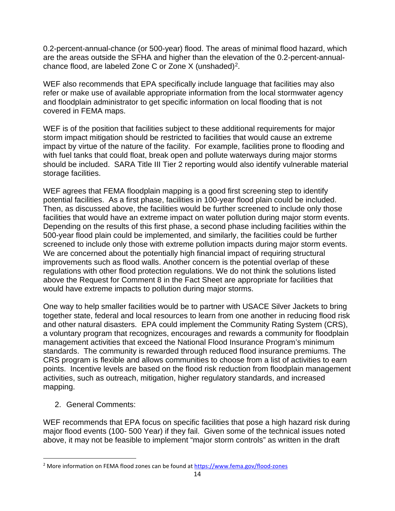0.2-percent-annual-chance (or 500-year) flood. The areas of minimal flood hazard, which are the areas outside the SFHA and higher than the elevation of the 0.2-percent-annualchance flood, are labeled Zone C or Zone X (unshaded)<sup>2</sup>.

WEF also recommends that EPA specifically include language that facilities may also refer or make use of available appropriate information from the local stormwater agency and floodplain administrator to get specific information on local flooding that is not covered in FEMA maps.

WEF is of the position that facilities subject to these additional requirements for major storm impact mitigation should be restricted to facilities that would cause an extreme impact by virtue of the nature of the facility. For example, facilities prone to flooding and with fuel tanks that could float, break open and pollute waterways during major storms should be included. SARA Title III Tier 2 reporting would also identify vulnerable material storage facilities.

WEF agrees that FEMA floodplain mapping is a good first screening step to identify potential facilities. As a first phase, facilities in 100-year flood plain could be included. Then, as discussed above, the facilities would be further screened to include only those facilities that would have an extreme impact on water pollution during major storm events. Depending on the results of this first phase, a second phase including facilities within the 500-year flood plain could be implemented, and similarly, the facilities could be further screened to include only those with extreme pollution impacts during major storm events. We are concerned about the potentially high financial impact of requiring structural improvements such as flood walls. Another concern is the potential overlap of these regulations with other flood protection regulations. We do not think the solutions listed above the Request for Comment 8 in the Fact Sheet are appropriate for facilities that would have extreme impacts to pollution during major storms.

One way to help smaller facilities would be to partner with USACE Silver Jackets to bring together state, federal and local resources to learn from one another in reducing flood risk and other natural disasters. EPA could implement the Community Rating System (CRS), a voluntary program that recognizes, encourages and rewards a community for floodplain management activities that exceed the National Flood Insurance Program's minimum standards. The community is rewarded through reduced flood insurance premiums. The CRS program is flexible and allows communities to choose from a list of activities to earn points. Incentive levels are based on the flood risk reduction from floodplain management activities, such as outreach, mitigation, higher regulatory standards, and increased mapping.

2. General Comments:

WEF recommends that EPA focus on specific facilities that pose a high hazard risk during major flood events (100- 500 Year) if they fail. Given some of the technical issues noted above, it may not be feasible to implement "major storm controls" as written in the draft

<span id="page-13-0"></span><sup>2</sup> More information on FEMA flood zones can be found a[t https://www.fema.gov/flood-zones](https://www.fema.gov/flood-zones)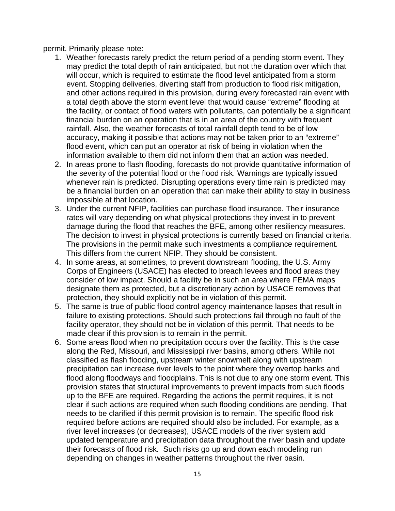permit. Primarily please note:

- 1. Weather forecasts rarely predict the return period of a pending storm event. They may predict the total depth of rain anticipated, but not the duration over which that will occur, which is required to estimate the flood level anticipated from a storm event. Stopping deliveries, diverting staff from production to flood risk mitigation, and other actions required in this provision, during every forecasted rain event with a total depth above the storm event level that would cause "extreme" flooding at the facility, or contact of flood waters with pollutants, can potentially be a significant financial burden on an operation that is in an area of the country with frequent rainfall. Also, the weather forecasts of total rainfall depth tend to be of low accuracy, making it possible that actions may not be taken prior to an "extreme" flood event, which can put an operator at risk of being in violation when the information available to them did not inform them that an action was needed.
- 2. In areas prone to flash flooding, forecasts do not provide quantitative information of the severity of the potential flood or the flood risk. Warnings are typically issued whenever rain is predicted. Disrupting operations every time rain is predicted may be a financial burden on an operation that can make their ability to stay in business impossible at that location.
- 3. Under the current NFIP, facilities can purchase flood insurance. Their insurance rates will vary depending on what physical protections they invest in to prevent damage during the flood that reaches the BFE, among other resiliency measures. The decision to invest in physical protections is currently based on financial criteria. The provisions in the permit make such investments a compliance requirement. This differs from the current NFIP. They should be consistent.
- 4. In some areas, at sometimes, to prevent downstream flooding, the U.S. Army Corps of Engineers (USACE) has elected to breach levees and flood areas they consider of low impact. Should a facility be in such an area where FEMA maps designate them as protected, but a discretionary action by USACE removes that protection, they should explicitly not be in violation of this permit.
- 5. The same is true of public flood control agency maintenance lapses that result in failure to existing protections. Should such protections fail through no fault of the facility operator, they should not be in violation of this permit. That needs to be made clear if this provision is to remain in the permit.
- 6. Some areas flood when no precipitation occurs over the facility. This is the case along the Red, Missouri, and Mississippi river basins, among others. While not classified as flash flooding, upstream winter snowmelt along with upstream precipitation can increase river levels to the point where they overtop banks and flood along floodways and floodplains. This is not due to any one storm event. This provision states that structural improvements to prevent impacts from such floods up to the BFE are required. Regarding the actions the permit requires, it is not clear if such actions are required when such flooding conditions are pending. That needs to be clarified if this permit provision is to remain. The specific flood risk required before actions are required should also be included. For example, as a river level increases (or decreases), USACE models of the river system add updated temperature and precipitation data throughout the river basin and update their forecasts of flood risk. Such risks go up and down each modeling run depending on changes in weather patterns throughout the river basin.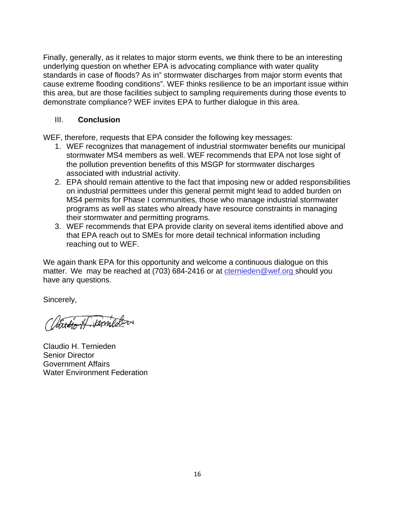Finally, generally, as it relates to major storm events, we think there to be an interesting underlying question on whether EPA is advocating compliance with water quality standards in case of floods? As in" stormwater discharges from major storm events that cause extreme flooding conditions". WEF thinks resilience to be an important issue within this area, but are those facilities subject to sampling requirements during those events to demonstrate compliance? WEF invites EPA to further dialogue in this area.

### III. **Conclusion**

WEF, therefore, requests that EPA consider the following key messages:

- 1. WEF recognizes that management of industrial stormwater benefits our municipal stormwater MS4 members as well. WEF recommends that EPA not lose sight of the pollution prevention benefits of this MSGP for stormwater discharges associated with industrial activity.
- 2. EPA should remain attentive to the fact that imposing new or added responsibilities on industrial permittees under this general permit might lead to added burden on MS4 permits for Phase I communities, those who manage industrial stormwater programs as well as states who already have resource constraints in managing their stormwater and permitting programs.
- 3. WEF recommends that EPA provide clarity on several items identified above and that EPA reach out to SMEs for more detail technical information including reaching out to WEF.

We again thank EPA for this opportunity and welcome a continuous dialogue on this matter. We may be reached at (703) 684-2416 or at [cternieden@wef.org](mailto:cternieden@wef.org) should you have any questions.

Sincerely,

attition of Verneder

Claudio H. Ternieden Senior Director Government Affairs Water Environment Federation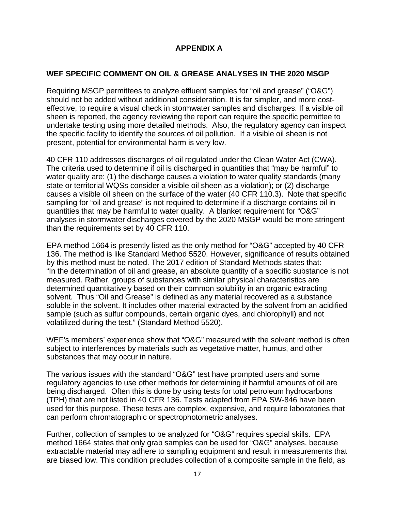### **APPENDIX A**

#### **WEF SPECIFIC COMMENT ON OIL & GREASE ANALYSES IN THE 2020 MSGP**

Requiring MSGP permittees to analyze effluent samples for "oil and grease" ("O&G") should not be added without additional consideration. It is far simpler, and more costeffective, to require a visual check in stormwater samples and discharges. If a visible oil sheen is reported, the agency reviewing the report can require the specific permittee to undertake testing using more detailed methods. Also, the regulatory agency can inspect the specific facility to identify the sources of oil pollution. If a visible oil sheen is not present, potential for environmental harm is very low.

40 CFR 110 addresses discharges of oil regulated under the Clean Water Act (CWA). The criteria used to determine if oil is discharged in quantities that "may be harmful" to water quality are: (1) the discharge causes a violation to water quality standards (many state or territorial WQSs consider a visible oil sheen as a violation); or (2) discharge causes a visible oil sheen on the surface of the water (40 CFR 110.3). Note that specific sampling for "oil and grease" is not required to determine if a discharge contains oil in quantities that may be harmful to water quality. A blanket requirement for "O&G" analyses in stormwater discharges covered by the 2020 MSGP would be more stringent than the requirements set by 40 CFR 110.

EPA method 1664 is presently listed as the only method for "O&G" accepted by 40 CFR 136. The method is like Standard Method 5520. However, significance of results obtained by this method must be noted. The 2017 edition of Standard Methods states that: "In the determination of oil and grease, an absolute quantity of a specific substance is not measured. Rather, groups of substances with similar physical characteristics are determined quantitatively based on their common solubility in an organic extracting solvent. Thus "Oil and Grease" is defined as any material recovered as a substance soluble in the solvent. It includes other material extracted by the solvent from an acidified sample (such as sulfur compounds, certain organic dyes, and chlorophyll) and not volatilized during the test." (Standard Method 5520).

WEF's members' experience show that "O&G" measured with the solvent method is often subject to interferences by materials such as vegetative matter, humus, and other substances that may occur in nature.

The various issues with the standard "O&G" test have prompted users and some regulatory agencies to use other methods for determining if harmful amounts of oil are being discharged. Often this is done by using tests for total petroleum hydrocarbons (TPH) that are not listed in 40 CFR 136. Tests adapted from EPA SW-846 have been used for this purpose. These tests are complex, expensive, and require laboratories that can perform chromatographic or spectrophotometric analyses.

Further, collection of samples to be analyzed for "O&G" requires special skills. EPA method 1664 states that only grab samples can be used for "O&G" analyses, because extractable material may adhere to sampling equipment and result in measurements that are biased low. This condition precludes collection of a composite sample in the field, as